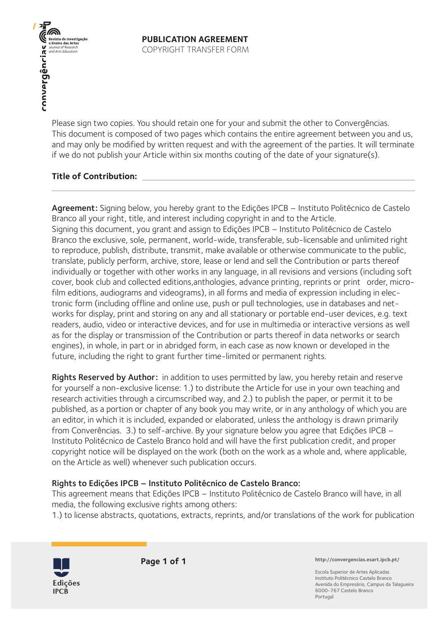**THE CONSTRUCT OF THE CONSTRUCTION**<br>
Refinition das Artes<br>
Construction<br>
CONSTRUCT OF THE CONSTRUCT OF THE CONSTRUCT OF THE CONSTRUCT OF THE CONSTRUCTION

Please sign two copies. You should retain one for your and submit the other to Convergências. This document is composed of two pages which contains the entire agreement between you and us, and may only be modified by written request and with the agreement of the parties. It will terminate if we do not publish your Article within six months couting of the date of your signature(s).

## **Title of Contribution:**

Agreement: Signing below, you hereby grant to the Edições IPCB – Instituto Politécnico de Castelo Branco all your right, title, and interest including copyright in and to the Article. Signing this document, you grant and assign to Edições IPCB – Instituto Politécnico de Castelo Branco the exclusive, sole, permanent, world-wide, transferable, sub-licensable and unlimited right to reproduce, publish, distribute, transmit, make available or otherwise communicate to the public, translate, publicly perform, archive, store, lease or lend and sell the Contribution or parts thereof individually or together with other works in any language, in all revisions and versions (including soft cover, book club and collected editions,anthologies, advance printing, reprints or print order, microfilm editions, audiograms and videograms), in all forms and media of expression including in electronic form (including offline and online use, push or pull technologies, use in databases and networks for display, print and storing on any and all stationary or portable end-user devices, e.g. text readers, audio, video or interactive devices, and for use in multimedia or interactive versions as well as for the display or transmission of the Contribution or parts thereof in data networks or search engines), in whole, in part or in abridged form, in each case as now known or developed in the future, including the right to grant further time-limited or permanent rights.

Rights Reserved by Author: in addition to uses permitted by law, you hereby retain and reserve for yourself a non-exclusive license: 1.) to distribute the Article for use in your own teaching and research activities through a circumscribed way, and 2.) to publish the paper, or permit it to be published, as a portion or chapter of any book you may write, or in any anthology of which you are an editor, in which it is included, expanded or elaborated, unless the anthology is drawn primarily from Converências. 3.) to self-archive. By your signature below you agree that Edições IPCB – Instituto Politécnico de Castelo Branco hold and will have the first publication credit, and proper copyright notice will be displayed on the work (both on the work as a whole and, where applicable, on the Article as well) whenever such publication occurs.

## Rights to Edições IPCB – Instituto Politécnico de Castelo Branco:

This agreement means that Edições IPCB – Instituto Politécnico de Castelo Branco will have, in all media, the following exclusive rights among others:

1.) to license abstracts, quotations, extracts, reprints, and/or translations of the work for publication



**Page 1 of 1**

**http://convergencias.esart.ipcb.pt/**

Escola Superior de Artes Aplicadas Instituto Politécnico Castelo Branco Avenida do Empresário, Campus da Talagueira 6000-767 Castelo Branco Portugal